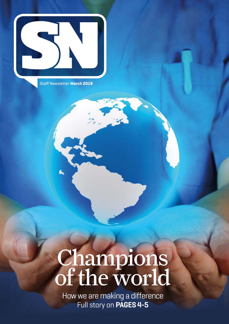

Staff Newsletter **March 2018**

# Champions of the world

How we are making a difference Full story on **PAGES 4-5**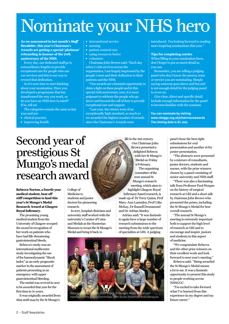## Nominate your NHS hero

**As we announced in last month's** *Staff Newsletter***, this year's Chairman's Awards are getting a special 'platinum' rebranding in honour of the 70th anniversary of the NHS.**

Every day, our dedicated staff go to extraordinary lengths to provide exceptional care for people who use our services and this is our way to reward that dedication.

So it's now time to start thinking about your nomination. Have you developed a programme that has transformed the way you work, or do you have an NHS hero in mind? If so, tell us!

The categories remain the same as last year and are:

- **∫** clinical practice
- **∫** improving health
- **∫** international service
- **∫** nursing
- **∫** patient centred care
- **∫** using resources better
- **∫** volunteer.

Chairman John Brown said: "Each day when I visit services across the organisation, I am hugely impressed by the people I meet and their dedication to their patients and the NHS.

"Our awards are a fantastic opportunity to shine a light on these people and in this special 70th anniversary year, it is more poignant to celebrate the people who go above and beyond the call of duty to provide exceptional care and support.

"Last year, the entries were of an exceptionally high standard, so much so we awarded the highest number of awards since the Chairman's Awards were

introduced. I'm looking forward to reading more inspiring nominations this year."

#### **Tips for completing entries**

When filling in your nomination form, don't forget to put as much detail as you can.

Remember, you are telling a judging panel who don't know the person, team or service you are nominating. Simply saying someone goes above and beyond is not enough detail for the judging panel to score on.

Give clear, direct and specific detail. Include enough information for the panel to become familiar with the nominee.

**You can nominate by visiting: www.nhsggc.org.uk/chairmansawards The closing date is 31 July.** 

## Second year of prestigious St Mungo's medal research award

**Rebecca Norton, a fourth-year medical student, beat off stiff competition to land this year's St Mungo's Medal Research Award at Glasgow Royal Infirmary.**

The promising young medical student from the University of Glasgow scooped the award in recognition of her work on patients who have had life-threatening gastrointestinal bleeds.

Rebecca's study was an international multicentre study investigating the use of the haemodynamic "Shock index" as an early prognostic marker in the assessment of patients presenting as an emergency with upper gastrointestinal bleeding.

The medal was revived in 2017 to be awarded that year for the first time in 70 years.

It was originally awarded from 1894 until 1944 by the St Mungo's

College of Medicine to students and junior doctors for pioneering research.

In 2017, hospital clinicians and university staff worked with the university's Curator of Coins and Medals at the Hunterian Museum to recast the St Mungo's Medal and bring it back to

life in the 21st century. Our Chairman John Brown presented a delighted Rebecca with her St Mungo's Medal on Friday 9 February.

The organising committee of the now annual St Mungo's research meeting, which aims to highlight Glasgow Royal Infirmary-based research, is made up of Dr Terry Quinn, Prof Mary-Ann Lumsden, Prof Colin McKay, Dr Russell Drummond and Dr Adrian Stanley.

Adrian said: "It was fantastic to again have a large number of research submissions to the meeting from the wide spectrum of specialties at GRI. A judging



panel chose the best eight submissions for oral presentation and another 16 for poster presentation.

"The abstracts were presented by a mixture of consultants, junior doctors, students and nurses, with the prize winners chosen by a panel consisting of senior university and NHS staff.

"There was also a fascinating talk from Professor Paul Horgan on the history of surgical research at GRI and a short talk by chairman John Brown who presented the prizes, including the St Mungo's Medal for best overall research.

"The annual St Mungo's meeting is extremely important both to support the high level of research at GRI and to encourage and inspire juniors and students in this aspect of medicine.

"We congratulate Rebecca and the other prize winners on their excellent work and look forward to next year's meeting."

Rebecca said: "Being awarded the St Mungo's Medal means a lot to me. It was a fantastic opportunity to present this study to people working across **NHSGGC.** 

"I'm excited to take forward what I've learned from this experience in my degree and my future career."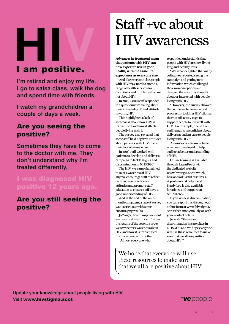# н I am positive.

I'm retired and enjoy my life. I go to salsa class, walk the dog and spend time with friends.

I watch my grandchildren a couple of days a week.

### Are you seeing the positive?

Sometimes they have to come to the doctor with me. They don't understand why I'm treated differently.

### I was diagnosed HIV positive 12 years ago.

### Are you still seeing the positive?

## Staff +ve about HIV awareness

**Advances in treatment mean that patients with HIV can now expect to live in good health, with the same life expectancy as everyone else.**

And like everyone else, people with HIV may need to attend a range of health services for conditions and problems that are not about HIV.

In 2013, 4,000 staff responded to a questionnaire asking about their knowledge of, and attitude towards, HIV.

This highlighted a lack of awareness about how HIV is transmitted and how it affects people living with it.

The survey also revealed that some staff held negative attitudes about patients with HIV due to their lack of knowledge.

In 2016, staff worked with patients to develop and deliver a campaign to tackle stigma and discrimination in NHSGGC.

The HIV +ve campaign aimed to raise awareness of HIV stigma, encourage staff to reflect on their own practice and attitudes and promote staff education to ensure staff have a good understanding of HIV.

And at the end of the ninemonth campaign, a repeat survey was carried out with some encouraging results.

Jo Zinger, health improvement lead – sexual health, said: "From the results of the second survey, we saw better awareness about HIV and how it is transmitted from one person to another.

"Almost everyone who

responded understands that people with HIV are now living long and healthy lives.

"We were delighted that many colleagues reported seeing the campaign and getting new information which challenged their misconceptions and changed the way they thought about or interacted with people living with HIV.

"However, the survey showed that while we have made real progress in tackling HIV stigma, there is still a way to go to support people to live well with HIV. For example, one in five staff remains unconfident about delivering patient care to people living with HIV."

A number of resources have now been developed to help staff get a better understanding of HIV.

Online training is available through LearnPro or via the dedicated website www.hivstigma.scot which has loads of useful resources. A professional helpline at Sandyford is also available for advice and support on 0141 211 8646.

If you witness discrimination, you can report this through our online form at www.hivstigma. scot either anonymously or with your contact details.

Jo said: "Stigma and discrimination has no place in NHSGGC and we hope everyone will use these resources to make sure that we all are positive about HIV."

We hope that everyone will use these resources to make sure that we all are positive about HIV

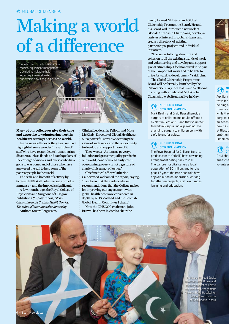## Making a world of a difference



**Many of our colleagues give their time and expertise to volunteering work in healthcare settings across the world.**

In this newsletter over the years, we have highlighted some wonderful examples of staff who have responded to humanitarian disasters such as floods and earthquakes; of the courage of medics and nurses who have gone to war zones and of those who have answered the call to help some of the poorest people in the world.

The scale and breadth of activity by Scottish NHS staff volunteering abroad is immense – and the impact is significant.

A few months ago, the Royal College of Physicians and Surgeons of Glasgow published a 78-page report, *Global Citizenship in the Scottish Health Service: The value of international volunteering*. Authors Stuart Fergusson,

Clinical Leadership Fellow, and Mike McKirdy, Director of Global Health, set out a powerful narrative detailing the value of such work and the opportunity to develop and support more of it.

They wrote: "As long as poverty, injustice and gross inequality persist in our world, none of us can truly rest… overcoming poverty is not a gesture of charity. It is an act of justice."

Chief medical officer Catherine Calderwood welcomed the report, saying: "I am keen that the evidence-based recommendations that the College makes for improving our engagement with global health needs are considered in depth by NHSScotland and the Scottish Global Health Committee I chair."

Now the NHSGGC chairman, John Brown, has been invited to chair the

newly formed NHSScotland Global Citizenship Programme Board. He and his Board will introduce a network of Global Citizenship Champions; develop a register of interest in global citizens and create a directory of existing partnerships, projects and individual initiatives.

"The aim is to bring structure and cohesion to all the existing strands of work and volunteering and develop and support global citizenship. I feel honoured to be part of such important work and to be able to drive forward its development," said John.

The Global Citizenship Programme Board will be formally launched by the Cabinet Secretary for Health and Wellbeing in spring with a dedicated NHS Global Citizenship website going live in May.

#### **NHSGGC GLOBAL CITIZENS IN ACTION**

Mark Devlin and Craig Russell provide surgery to children and adults affected by cleft in Scotland – and they volunteer to work in Nagpur, India, providing lifechanging surgery to children born with cleft lip and/or palate.

#### **NHSGGC GLOBAL CITIZENS IN ACTION**

The Royal Hospital for Children (and its predecessor at Yorkhill) have a twinning arrangement dating back to 2001. The Lahore hospital serves a local population of 10 million, and for the past 17 years the two hospitals have enjoyed a rich collaboration, working together on projects, staff exchanges, learning and education.



**NH CITIZENS IN ACTION**

Auxiliary travelled helping t theatres while the surgical t an access to medicine course and now has at Glasqo ambition Leone as

**NH CITIZENS IN ACTION** Dr Micha anaesthe volunteer

Professor Masood Sadiq, chairman John Brown and a young patient celebrate the twinning arrangement between Royal Hospital for Children and Institute of Child Health Lahore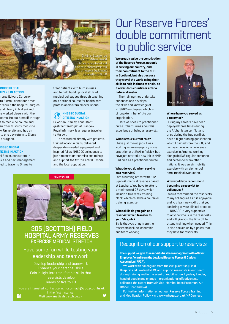

#### **NHSGGC GLOBAL CITIZENS IN ACTION**

nurse Edward Carberry to Sierra Leone four times o rebuild the hospital, surgical and library in Makeni and re worked closely with the eams. He put himself through s to medicine course and an offer to study medicine w University and has an to one day return to Sierra a surgeon.

#### **NHSGGC GLOBAL CITIZENS IN ACTION**

el Basler, consultant in sia and pain management, ed to travel to Ghana to

treat patients with burn injuries and to help build up local skills of medical colleagues through teaching on a national course for health care professionals from all over Ghana.

#### **NHSGGC GLOBAL CITIZENS IN ACTION**

Dr Adrian Stanley, consultant gastroenterologist at Glasgow Royal Infirmary, is a regular traveller to Malawi.

He has worked directly with patients, trained local clinicians, delivered desperately needed equipment and inspired fellow NHSGGC colleagues to join him on volunteer missions to help and support the Mzuzi Central Hospital and the local population.



#### 205 (SCOTTISH) FIELD HOSPITAL ARMY RESERVES EXERCISE MEDICAL STRETCH

#### Have some fun while testing your leadership and teamwork!

Develop leadership and teamwork Gain insight into transferable skills that reservists develop Teams of five to 10

If you are interested, contact **colin.mccormack@ggc.scot.nhs.uk Visit www.medicalstretch.co.uk** 

## Our Reserve Forces' double commitment to public service

**We greatly value the contribution of the Reserve Forces, not only in serving our country, and their commitment to the NHS in Scotland, but also because they travel the world using their skills to help in times of crisis, be it a war-torn country or after a natural disaster.**

The training they undertake enhances and develops the skills and knowledge of NHSGGC employees, which is of long-term benefit to our organisation.

Here we speak to practitioner nurse Robert Burns about his experience of being a reservist...

#### **What is your current role?**

I have just moved jobs. I was working as an emergency nurse practitioner at RAH in Paisley, but have just started a new job in HMP Barlinnie as a practitioner nurse.

#### **What do you do when serving as a reservist?**

I am a nursing officer with 612 Sqn RAF medical reserves based at Leuchars. You have to attend a minimum of 27 days, which include a two-week training block, which could be a course or training exercise.

#### **What skills do you gain as a reservist which transfer to your 'day job'?**

Skills that you bring from the reservists include leadership and team working.



#### **Where have you served as a reservist?**

During my career I have been deployed three times during the Afghanistan conflict and once during the Iraq conflict. I have a flight nursing qualification which I gained from the RAF, and last year I was on an overseas exercise in America working alongside RAF regular personnel and personnel from other nations. It was an air mobility exercise with an element of aero-medical evacuation.

#### **Why would you recommend becoming a reservist to colleagues?**

I would recommend the reservists to my colleagues as it is enjoyable and you learn new skills that you can bring to your clinical practice.

NHSGGC is very supportive to anyone who is in the reservists and will give you the time off to attend training when needed. This is also backed up by a policy that they have for reservists.

#### Recognition of our support to reservists

**The support we give to reservists has been recognised with a Silver Employer Award from the Lowland Reserve Forces & Cadets Association (RFCA).**

We work with colleagues from the 205 (Scottish) Field Hospital and Lowland RFCA and support reservists in our Board during training and in the event of mobilisation. Lyndsay Lauder, head of people and change – organisational effectiveness, collected the award from Air Vice-Marshal Ross Patterson, Air Officer Scotland RAF.

For further information on our our Reserve Forces Training and Mobilisation Policy, visit: www.nhsggc.org.uk/HRConnect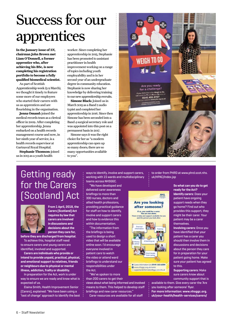## Success for our apprentices

**In the January issue of** *SN***, chairman John Brown met Liam O'Donnell, a former apprentice who, after achieving his BSc, is now completing his registration portfolio to become a fully qualified biomedical scientist.**

As part of Scottish Apprenticeship week (5-9 March), we thought it timely to feature some more of our employees who started their careers with us as apprentices and are flourishing in the organisation.

**Jenna Omand:** joined the medical records team as a clerical officer in 2009. After completing her apprenticeship, Jenna embarked on a health records management course and now, in her ninth year of service, is a health records supervisor at Gartnaval Royal Hospital.

**Stephanie Thomson:** joined us in 2013 as a youth health

worker. Since completing her apprenticeship in 2015, Stephanie has been promoted to assistant practitioner in health improvement working on a range of topics including youth employability and is in her second year of an undergraduate degree in community education. Stephanie is now sharing her knowledge by delivering training to our new apprenticeship recruits.

**Simone Black:** Joined us in March 2015 as a Band 2 audio typist and completed her apprenticeship in 2016. Since then Simone has been seconded into a Band 4 surgical secretary role and was appointed into this post on a permanent basis in 2017.

Simone says it was the right choice for her as "a modern apprenticeship can open up so many doors; there are so many opportunities available to you".



## Getting ready for the Carers (Scotland) Act



**From 1 April, 2018, the Carers (Scotland) Act requires by law that carers are involved in discussions and decisions about the person they care for,** 

**before they are discharged from hospital.** To achieve this, hospital staff need to ensure carers and young carers are identified, involved and supported.

**Carers are individuals who provide or intend to provide unpaid, practical, physical, and emotional support to relatives, friends or neighbours due to physical or mental illness, addiction, frailty or disability.** 

In preparation for the Act, work is under way to ensure we are ready and know what is expected of us.

Elaina Smith, Health Improvement Senior (Carers), explained: "We have been using a 'test of change' approach to identify the best ways to identify, involve and support carers, working with 15 wards and multidisciplinary teams across NHSGGC.

"We have developed and delivered carer awareness briefings to more than 300 nurses, doctors and allied health professions, providing practical guidance for staff on how to identify, involve and support carers and how to evidence this within documentation.

"The information from the briefings is being used to design a short video that will be available online soon. I'd encourage everyone involved in patient care to watch the video or attend ward briefings to understand our responsibilities under the Act.

"We've spoken to more than 200 carers to get their

views about what being informed and involved means to them. This helped to develop staff briefings and new carer resources.

Carer resources are available for all staff

to order from PHRD at www.phrd.scot.nhs. uk/HPAC/Index.jsp

**NHS** 

**Are you looking** after someone? If so, you could be a carer<br>You are not alone. nd support available for you

R Carers Information Line 0141 353 6504 .<br>I supportande formation@ggc.scot.nhs.uk<br>I supportande formation@ggc.scot.nhs.uk

E.

**So what can you do to get ready for the Act? Identify carers:** Does your patient have ongoing support needs when they go home? Find out who provides this support, they

might be their carer. Your patient may be a carer themselves.

**Involving carers:** Once you have identified that your patient has a carer you should then involve them in discussions and decisions about the person they care for in preparation for your patient going home. Make sure your patient has agreed to this.

**Supporting carers:** Make sure carers know about community support that is

available to them. Give every carer the 'Are you looking after someone' flyer. **For more information: www.nhsggc.org. uk/your-health/health-services/carers/**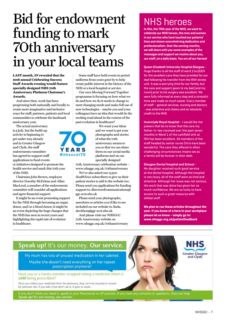## Bid for endowment funding to mark 70th anniversary in your local teams

**LAST month,** *SN* **revealed that the 2018 annual Celebrating Success Staff Awards evening would feature specially designed NHS 70th Anniversary Platinum Chairman's Awards.**

And since then, work has been progressing both nationally and locally to create more imaginative and inclusive ways for staff, partners, patients and local communities to celebrate the landmark anniversary year.

The actual anniversary is 5 July, but the build-up activity is beginning to get under way already and in Greater Glasgow and Clyde, the staff endowments committee has agreed to support staff applications to fund events or initiatives designed to promote the

health service and mark this 70th year of the NHS.

Chairman John Brown, employee director Dorothy McErlean and Allan MacLeod, a member of the endowments committee will consider all applications and agree financial support.

It might be an event promoting support for the NHS through becoming an organ donor, and/or a blood donor; it might be an event depicting the huge changes that the NHS has seen in recent years and highlighting the rapid rate of evolution in healthcare.

Some staff have held events in period uniforms from years gone by to help create public interest in the history of the NHS or a local hospital or service.

Our own Moving Forward Together programme is focusing on how what we do and how we do it needs to change to meet changing needs and make full use of new technologies – maybe you and your colleagues have an idea that would tie the exciting road ahead in the context of the past evolution in healthcare?



We want your ideas and we want to get your photographs and stories of what the 70th anniversary means to you so that we can share them on our social media platforms and on our specially designed

70th Anniversary celebration website – www.nhsggc.org.uk/70thanniversary

We've also asked our 13,500

*HealthNews* subscribers to give us their patient stories to add to the website too. Please send you applications for funding support to: directorofcommunications@ ggc.scot.nhs.uk

Please send your photographs, anecdotes or articles you'd like to see included on our website to: linda. davidson@ggc.scot.nhs.uk

And please visit our NHSGGC 70th Anniversary website on www.nhsggc.org.uk/70thanniversary

## NHS heroes

**In this, the 70th year of the NHS, we want to celebrate our NHS heroes, the men and women in our service who have touched our patients' lives and shown overwhelming dedication and professionalism. Over the coming months, we will share with you some examples of the messages and support we receive about you, our staff, on a daily basis. You are all our heroes!**

**Queen Elizabeth University Hospital Glasgow** – Huge thanks to all the staff of ward 11a QUEH for the excellent care they have provided for our dad following his transfer from the RAH stroke unit. It was a worrying time for our family, but the care and support given to my dad (and my mum) prior to his surgery was excellent. We were fully informed at every step and a stressful time was made so much easier. Every member of staff – general services, nursing and doctors - was attentive and cheery and an absolute credit to the NHS.

**Inverclyde Royal Hospital** - I would like the powers that be to know that the care my father-in-law received over the past seven months in Ward 1 of the Larkfield Unit at IRH has been excellent. All members of the staff headed by senior nurse Chris have been wonderful. The care they offered in often challenging circumstances means we as a family will be forever in their debt.

**Glasgow Dental Hospital and School** - My daughter received such good service at the dental hospital. Although the hospital is very busy, all of the staff were so kind and attentive. Although her issue was not serious, the work that was done has given her so much confidence. We are so lucky to have access to such a great resource with skilled staff.

**We plan to run these articles throughout the year. If you know of a hero in your workplace please let us know – simply go to: www.nhsggc.org.uk/patientfeedback**

### Speak up! It's our money. Our service.

My mum has lots of unused medication in her cabinet. Maybe she doesn't need everything on her repeat prescription anymore?

Have you or a family member stopped taking a medicine which is still being prescribed?

Once you collect your medicines from the pharmacy, they can't be recycled or reused by someone else. If you take it but don't use it, it goes to waste.

If you don't think you need it, speak to your Pharmacist or GP practice. If you have any concerns or questions, they can help. Speak up! It's our money, our service.

**Greater Glasgow<br>and Clyde**